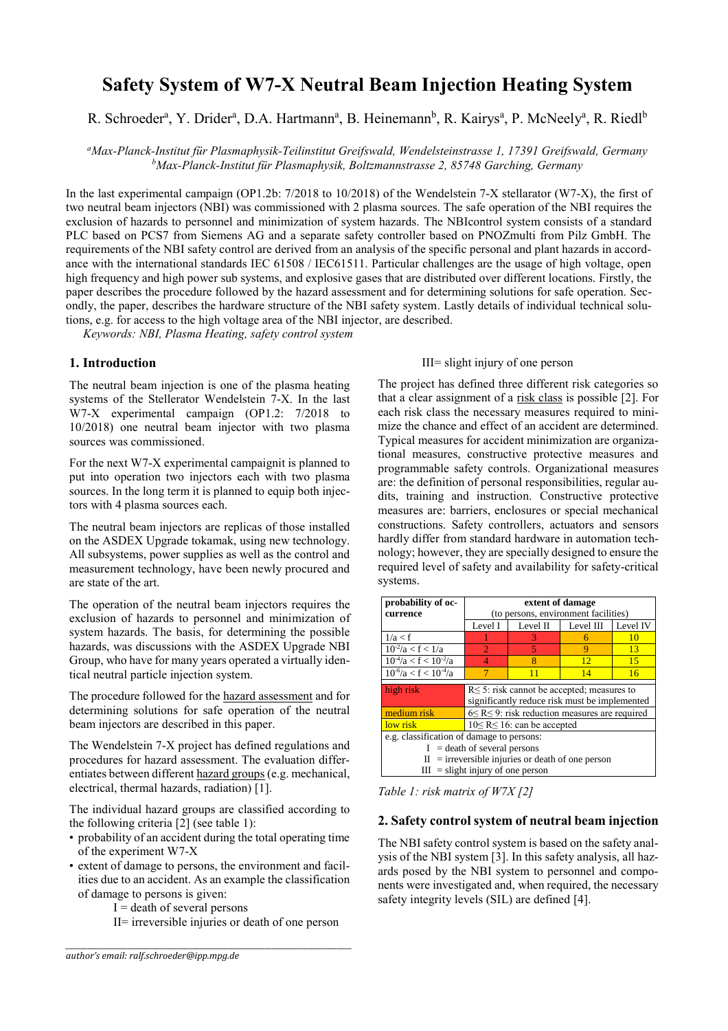# **Safety System of W7-X Neutral Beam Injection Heating System**

R. Schroeder<sup>a</sup>, Y. Drider<sup>a</sup>, D.A. Hartmann<sup>a</sup>, B. Heinemann<sup>b</sup>, R. Kairys<sup>a</sup>, P. McNeely<sup>a</sup>, R. Riedl<sup>b</sup>

*<sup>a</sup>Max-Planck-Institut für Plasmaphysik-Teilinstitut Greifswald, Wendelsteinstrasse 1, 17391 Greifswald, Germany <sup>b</sup>Max-Planck-Institut für Plasmaphysik, Boltzmannstrasse 2, 85748 Garching, Germany*

In the last experimental campaign (OP1.2b: 7/2018 to 10/2018) of the Wendelstein 7-X stellarator (W7-X), the first of two neutral beam injectors (NBI) was commissioned with 2 plasma sources. The safe operation of the NBI requires the exclusion of hazards to personnel and minimization of system hazards. The NBIcontrol system consists of a standard PLC based on PCS7 from Siemens AG and a separate safety controller based on PNOZmulti from Pilz GmbH. The requirements of the NBI safety control are derived from an analysis of the specific personal and plant hazards in accordance with the international standards IEC 61508 / IEC61511. Particular challenges are the usage of high voltage, open high frequency and high power sub systems, and explosive gases that are distributed over different locations. Firstly, the paper describes the procedure followed by the hazard assessment and for determining solutions for safe operation. Secondly, the paper, describes the hardware structure of the NBI safety system. Lastly details of individual technical solutions, e.g. for access to the high voltage area of the NBI injector, are described.

*Keywords: NBI, Plasma Heating, safety control system*

# **1. Introduction**

The neutral beam injection is one of the plasma heating systems of the Stellerator Wendelstein 7-X. In the last W7-X experimental campaign (OP1.2: 7/2018 to 10/2018) one neutral beam injector with two plasma sources was commissioned.

For the next W7-X experimental campaignit is planned to put into operation two injectors each with two plasma sources. In the long term it is planned to equip both injectors with 4 plasma sources each.

The neutral beam injectors are replicas of those installed on the ASDEX Upgrade tokamak, using new technology. All subsystems, power supplies as well as the control and measurement technology, have been newly procured and are state of the art.

The operation of the neutral beam injectors requires the exclusion of hazards to personnel and minimization of system hazards. The basis, for determining the possible hazards, was discussions with the ASDEX Upgrade NBI Group, who have for many years operated a virtually identical neutral particle injection system.

The procedure followed for the hazard assessment and for determining solutions for safe operation of the neutral beam injectors are described in this paper.

The Wendelstein 7-X project has defined regulations and procedures for hazard assessment. The evaluation differentiates between different hazard groups (e.g. mechanical, electrical, thermal hazards, radiation) [1].

The individual hazard groups are classified according to the following criteria [2] (see table 1):

- probability of an accident during the total operating time of the experiment W7-X
- extent of damage to persons, the environment and facilities due to an accident. As an example the classification of damage to persons is given:

*\_\_\_\_\_\_\_\_\_\_\_\_\_\_\_\_\_\_\_\_\_\_\_\_\_\_\_\_\_\_\_\_\_\_\_\_\_\_\_\_\_\_\_\_\_\_\_\_\_\_\_\_\_\_\_\_\_\_\_\_\_\_\_\_\_\_\_\_\_\_\_\_\_\_\_\_\_\_\_*

- $I =$  death of several persons
- II= irreversible injuries or death of one person

## III= slight injury of one person

The project has defined three different risk categories so that a clear assignment of a risk class is possible [2]. For each risk class the necessary measures required to minimize the chance and effect of an accident are determined. Typical measures for accident minimization are organizational measures, constructive protective measures and programmable safety controls. Organizational measures are: the definition of personal responsibilities, regular audits, training and instruction. Constructive protective measures are: barriers, enclosures or special mechanical constructions. Safety controllers, actuators and sensors hardly differ from standard hardware in automation technology; however, they are specially designed to ensure the required level of safety and availability for safety-critical systems.

| probability of oc-                                    | extent of damage                                       |                         |           |          |
|-------------------------------------------------------|--------------------------------------------------------|-------------------------|-----------|----------|
| currence                                              | (to persons, environment facilities)                   |                         |           |          |
|                                                       | Level I                                                | Level II                | Level III | Level IV |
| 1/a < f                                               |                                                        | 3                       | 6         | 10       |
| $10^{-2}/a < f < 1/a$                                 | $\mathcal{D}_{\cdot}$                                  | $\overline{5}$          | 9         | 13       |
| $10^{-4}/a < f < 10^{-2}/a$                           | $\overline{4}$                                         | $\overline{\mathbf{R}}$ | 12        | 15       |
| $10^{-6}/a < f < 10^{-4}/a$                           |                                                        | 11                      | 14        | 16       |
|                                                       |                                                        |                         |           |          |
| high risk                                             | $R \leq 5$ : risk cannot be accepted; measures to      |                         |           |          |
|                                                       | significantly reduce risk must be implemented          |                         |           |          |
| medium risk                                           | $6 \le R \le 9$ : risk reduction measures are required |                         |           |          |
| low risk                                              | $10 \leq R \leq 16$ : can be accepted                  |                         |           |          |
| e.g. classification of damage to persons:             |                                                        |                         |           |          |
| $I =$ death of several persons                        |                                                        |                         |           |          |
| $=$ irreversible injuries or death of one person<br>П |                                                        |                         |           |          |
| $=$ slight injury of one person<br>Ш                  |                                                        |                         |           |          |

*Table 1: risk matrix of W7X [2]*

# **2. Safety control system of neutral beam injection**

The NBI safety control system is based on the safety analysis of the NBI system [3]. In this safety analysis, all hazards posed by the NBI system to personnel and components were investigated and, when required, the necessary safety integrity levels (SIL) are defined [4].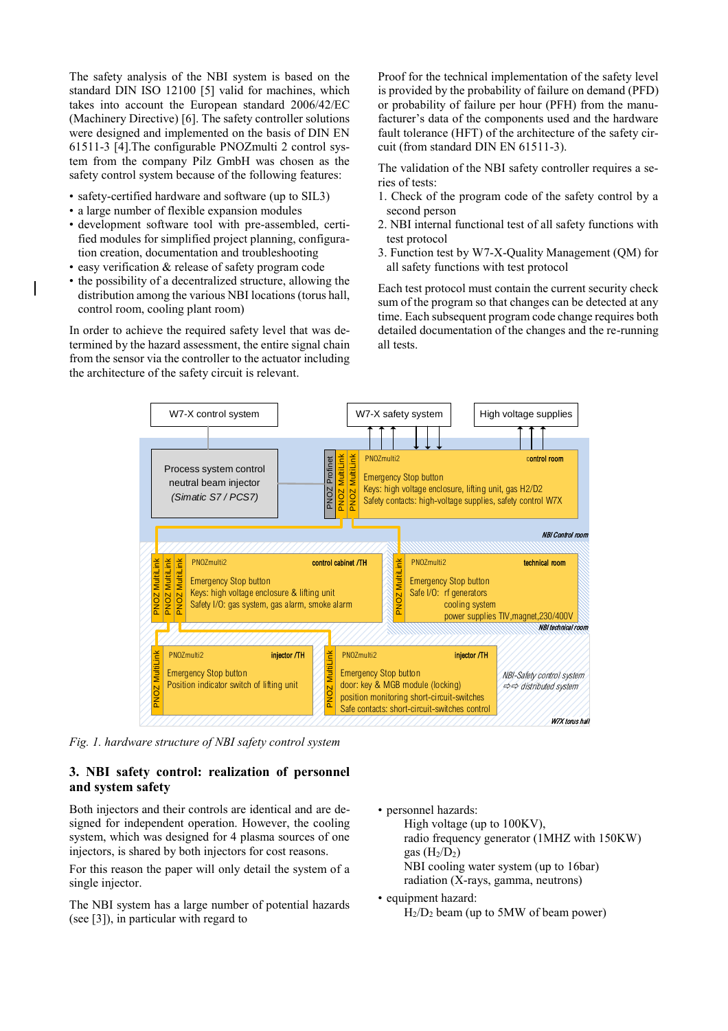The safety analysis of the NBI system is based on the standard DIN ISO 12100 [5] valid for machines, which takes into account the European standard 2006/42/EC (Machinery Directive) [6]. The safety controller solutions were designed and implemented on the basis of DIN EN 61511-3 [4].The configurable PNOZmulti 2 control system from the company Pilz GmbH was chosen as the safety control system because of the following features:

- safety-certified hardware and software (up to SIL3)
- a large number of flexible expansion modules
- development software tool with pre-assembled, certified modules for simplified project planning, configuration creation, documentation and troubleshooting
- easy verification & release of safety program code
- the possibility of a decentralized structure, allowing the distribution among the various NBI locations (torus hall, control room, cooling plant room)

In order to achieve the required safety level that was determined by the hazard assessment, the entire signal chain from the sensor via the controller to the actuator including the architecture of the safety circuit is relevant.

Proof for the technical implementation of the safety level is provided by the probability of failure on demand (PFD) or probability of failure per hour (PFH) from the manufacturer's data of the components used and the hardware fault tolerance (HFT) of the architecture of the safety circuit (from standard DIN EN 61511-3).

The validation of the NBI safety controller requires a series of tests:

- 1. Check of the program code of the safety control by a second person
- 2. NBI internal functional test of all safety functions with test protocol
- 3. Function test by W7-X-Quality Management (QM) for all safety functions with test protocol

Each test protocol must contain the current security check sum of the program so that changes can be detected at any time. Each subsequent program code change requires both detailed documentation of the changes and the re-running all tests.



*Fig. 1. hardware structure of NBI safety control system*

# **3. NBI safety control: realization of personnel and system safety**

Both injectors and their controls are identical and are designed for independent operation. However, the cooling system, which was designed for 4 plasma sources of one injectors, is shared by both injectors for cost reasons.

For this reason the paper will only detail the system of a single injector.

The NBI system has a large number of potential hazards (see [3]), in particular with regard to

• personnel hazards: High voltage (up to 100KV),

> radio frequency generator (1MHZ with 150KW) gas  $(H<sub>2</sub>/D<sub>2</sub>)$ NBI cooling water system (up to 16bar) radiation (X-rays, gamma, neutrons)

• equipment hazard:  $H<sub>2</sub>/D<sub>2</sub>$  beam (up to 5MW of beam power)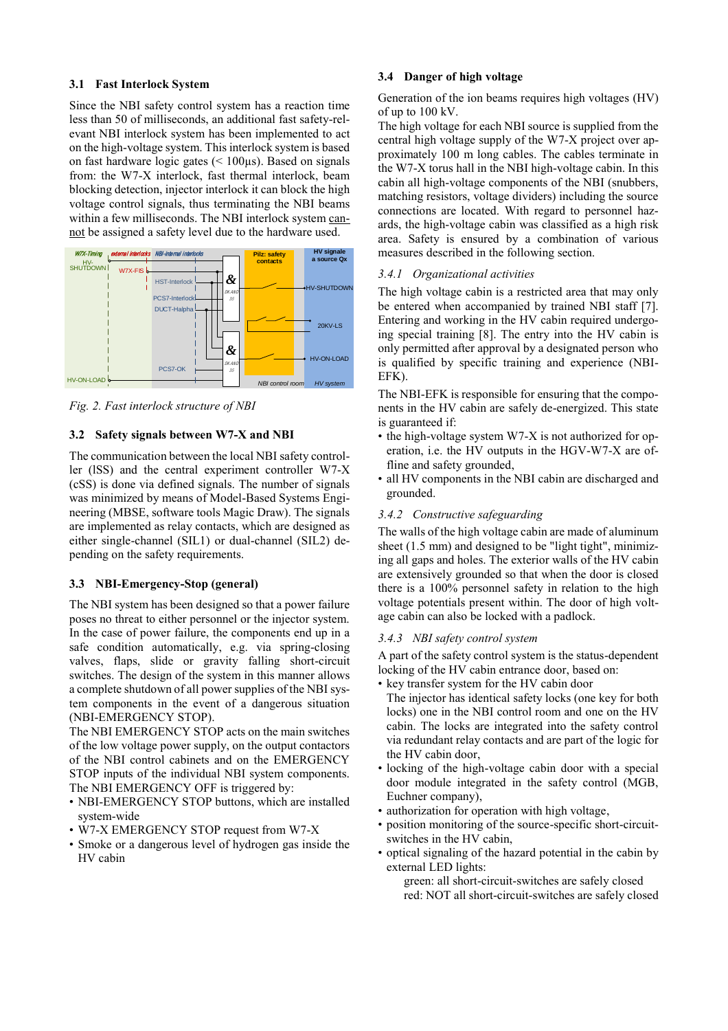## **3.1 Fast Interlock System**

Since the NBI safety control system has a reaction time less than 50 of milliseconds, an additional fast safety-relevant NBI interlock system has been implemented to act on the high-voltage system. This interlock system is based on fast hardware logic gates  $(< 100 \mu s)$ . Based on signals from: the W7-X interlock, fast thermal interlock, beam blocking detection, injector interlock it can block the high voltage control signals, thus terminating the NBI beams within a few milliseconds. The NBI interlock system cannot be assigned a safety level due to the hardware used.



*Fig. 2. Fast interlock structure of NBI*

# **3.2 Safety signals between W7-X and NBI**

The communication between the local NBI safety controller (lSS) and the central experiment controller W7-X (cSS) is done via defined signals. The number of signals was minimized by means of Model-Based Systems Engineering (MBSE, software tools Magic Draw). The signals are implemented as relay contacts, which are designed as either single-channel (SIL1) or dual-channel (SIL2) depending on the safety requirements.

# **3.3 NBI-Emergency-Stop (general)**

The NBI system has been designed so that a power failure poses no threat to either personnel or the injector system. In the case of power failure, the components end up in a safe condition automatically, e.g. via spring-closing valves, flaps, slide or gravity falling short-circuit switches. The design of the system in this manner allows a complete shutdown of all power supplies of the NBI system components in the event of a dangerous situation (NBI-EMERGENCY STOP).

The NBI EMERGENCY STOP acts on the main switches of the low voltage power supply, on the output contactors of the NBI control cabinets and on the EMERGENCY STOP inputs of the individual NBI system components. The NBI EMERGENCY OFF is triggered by:

- NBI-EMERGENCY STOP buttons, which are installed system-wide
- W7-X EMERGENCY STOP request from W7-X
- Smoke or a dangerous level of hydrogen gas inside the HV cabin

## **3.4 Danger of high voltage**

Generation of the ion beams requires high voltages (HV) of up to 100 kV.

The high voltage for each NBI source is supplied from the central high voltage supply of the W7-X project over approximately 100 m long cables. The cables terminate in the W7-X torus hall in the NBI high-voltage cabin. In this cabin all high-voltage components of the NBI (snubbers, matching resistors, voltage dividers) including the source connections are located. With regard to personnel hazards, the high-voltage cabin was classified as a high risk area. Safety is ensured by a combination of various measures described in the following section.

# *3.4.1 Organizational activities*

The high voltage cabin is a restricted area that may only be entered when accompanied by trained NBI staff [7]. Entering and working in the HV cabin required undergoing special training [8]. The entry into the HV cabin is only permitted after approval by a designated person who is qualified by specific training and experience (NBI-EFK).

The NBI-EFK is responsible for ensuring that the components in the HV cabin are safely de-energized. This state is guaranteed if:

- the high-voltage system W7-X is not authorized for operation, i.e. the HV outputs in the HGV-W7-X are offline and safety grounded,
- all HV components in the NBI cabin are discharged and grounded.

# *3.4.2 Constructive safeguarding*

The walls of the high voltage cabin are made of aluminum sheet (1.5 mm) and designed to be "light tight", minimizing all gaps and holes. The exterior walls of the HV cabin are extensively grounded so that when the door is closed there is a 100% personnel safety in relation to the high voltage potentials present within. The door of high voltage cabin can also be locked with a padlock.

# *3.4.3 NBI safety control system*

A part of the safety control system is the status-dependent locking of the HV cabin entrance door, based on:

- key transfer system for the HV cabin door
- The injector has identical safety locks (one key for both locks) one in the NBI control room and one on the HV cabin. The locks are integrated into the safety control via redundant relay contacts and are part of the logic for the HV cabin door,
- locking of the high-voltage cabin door with a special door module integrated in the safety control (MGB, Euchner company),
- authorization for operation with high voltage,
- position monitoring of the source-specific short-circuitswitches in the HV cabin,
- optical signaling of the hazard potential in the cabin by external LED lights:
	- green: all short-circuit-switches are safely closed red: NOT all short-circuit-switches are safely closed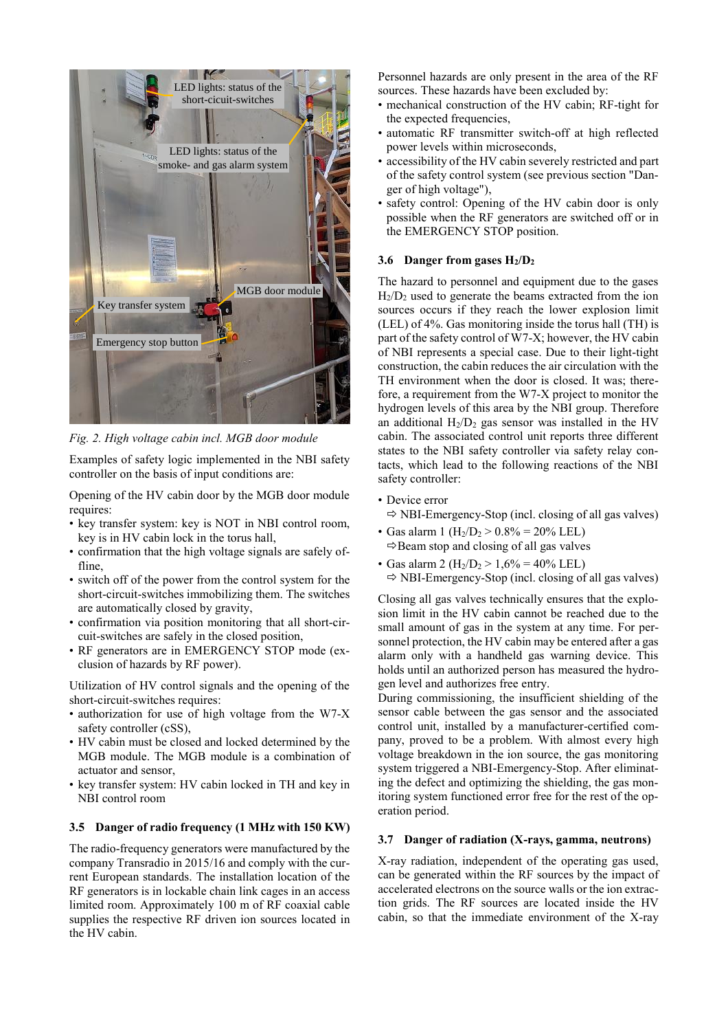

*Fig. 2. High voltage cabin incl. MGB door module*

Examples of safety logic implemented in the NBI safety controller on the basis of input conditions are:

Opening of the HV cabin door by the MGB door module requires:

- key transfer system: key is NOT in NBI control room, key is in HV cabin lock in the torus hall,
- confirmation that the high voltage signals are safely offline.
- switch off of the power from the control system for the short-circuit-switches immobilizing them. The switches are automatically closed by gravity,
- confirmation via position monitoring that all short-circuit-switches are safely in the closed position,
- RF generators are in EMERGENCY STOP mode (exclusion of hazards by RF power).

Utilization of HV control signals and the opening of the short-circuit-switches requires:

- authorization for use of high voltage from the W7-X safety controller (cSS),
- HV cabin must be closed and locked determined by the MGB module. The MGB module is a combination of actuator and sensor,
- key transfer system: HV cabin locked in TH and key in NBI control room

### **3.5 Danger of radio frequency (1 MHz with 150 KW)**

The radio-frequency generators were manufactured by the company Transradio in 2015/16 and comply with the current European standards. The installation location of the RF generators is in lockable chain link cages in an access limited room. Approximately 100 m of RF coaxial cable supplies the respective RF driven ion sources located in the HV cabin.

Personnel hazards are only present in the area of the RF sources. These hazards have been excluded by:

- mechanical construction of the HV cabin; RF-tight for the expected frequencies,
- automatic RF transmitter switch-off at high reflected power levels within microseconds,
- accessibility of the HV cabin severely restricted and part of the safety control system (see previous section "Danger of high voltage"),
- safety control: Opening of the HV cabin door is only possible when the RF generators are switched off or in the EMERGENCY STOP position.

#### **3.6 Danger from gases H2/D<sup>2</sup>**

The hazard to personnel and equipment due to the gases  $H<sub>2</sub>/D<sub>2</sub>$  used to generate the beams extracted from the ion sources occurs if they reach the lower explosion limit (LEL) of 4%. Gas monitoring inside the torus hall (TH) is part of the safety control of W7-X; however, the HV cabin of NBI represents a special case. Due to their light-tight construction, the cabin reduces the air circulation with the TH environment when the door is closed. It was; therefore, a requirement from the W7-X project to monitor the hydrogen levels of this area by the NBI group. Therefore an additional  $H_2/D_2$  gas sensor was installed in the HV cabin. The associated control unit reports three different states to the NBI safety controller via safety relay contacts, which lead to the following reactions of the NBI safety controller:

- Device error
	- $\Rightarrow$  NBI-Emergency-Stop (incl. closing of all gas valves)
- Gas alarm 1 ( $H_2/D_2 > 0.8\% = 20\%$  LEL)  $\Rightarrow$  Beam stop and closing of all gas valves
- Gas alarm 2 ( $H_2/D_2 > 1,6\% = 40\%$  LEL)

 $\Rightarrow$  NBI-Emergency-Stop (incl. closing of all gas valves)

Closing all gas valves technically ensures that the explosion limit in the HV cabin cannot be reached due to the small amount of gas in the system at any time. For personnel protection, the HV cabin may be entered after a gas alarm only with a handheld gas warning device. This holds until an authorized person has measured the hydrogen level and authorizes free entry.

During commissioning, the insufficient shielding of the sensor cable between the gas sensor and the associated control unit, installed by a manufacturer-certified company, proved to be a problem. With almost every high voltage breakdown in the ion source, the gas monitoring system triggered a NBI-Emergency-Stop. After eliminating the defect and optimizing the shielding, the gas monitoring system functioned error free for the rest of the operation period.

#### **3.7 Danger of radiation (X-rays, gamma, neutrons)**

X-ray radiation, independent of the operating gas used, can be generated within the RF sources by the impact of accelerated electrons on the source walls or the ion extraction grids. The RF sources are located inside the HV cabin, so that the immediate environment of the X-ray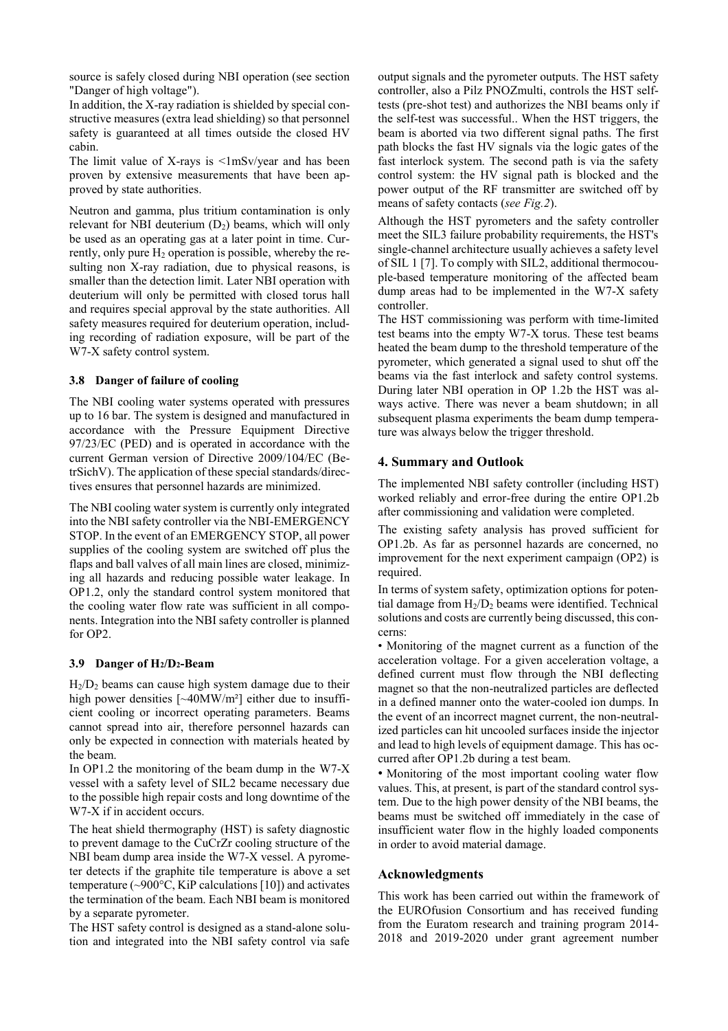source is safely closed during NBI operation (see section "Danger of high voltage").

In addition, the X-ray radiation is shielded by special constructive measures (extra lead shielding) so that personnel safety is guaranteed at all times outside the closed HV cabin.

The limit value of X-rays is  $\langle 1 \text{mSv/year}$  and has been proven by extensive measurements that have been approved by state authorities.

Neutron and gamma, plus tritium contamination is only relevant for NBI deuterium  $(D_2)$  beams, which will only be used as an operating gas at a later point in time. Currently, only pure H<sub>2</sub> operation is possible, whereby the resulting non X-ray radiation, due to physical reasons, is smaller than the detection limit. Later NBI operation with deuterium will only be permitted with closed torus hall and requires special approval by the state authorities. All safety measures required for deuterium operation, including recording of radiation exposure, will be part of the W7-X safety control system.

# **3.8 Danger of failure of cooling**

The NBI cooling water systems operated with pressures up to 16 bar. The system is designed and manufactured in accordance with the Pressure Equipment Directive 97/23/EC (PED) and is operated in accordance with the current German version of Directive 2009/104/EC (BetrSichV). The application of these special standards/directives ensures that personnel hazards are minimized.

The NBI cooling water system is currently only integrated into the NBI safety controller via the NBI-EMERGENCY STOP. In the event of an EMERGENCY STOP, all power supplies of the cooling system are switched off plus the flaps and ball valves of all main lines are closed, minimizing all hazards and reducing possible water leakage. In OP1.2, only the standard control system monitored that the cooling water flow rate was sufficient in all components. Integration into the NBI safety controller is planned for OP2.

#### **3.9 Danger of H2/D2-Beam**

 $H<sub>2</sub>/D<sub>2</sub>$  beams can cause high system damage due to their high power densities [~40MW/m<sup>2</sup>] either due to insufficient cooling or incorrect operating parameters. Beams cannot spread into air, therefore personnel hazards can only be expected in connection with materials heated by the beam.

In OP1.2 the monitoring of the beam dump in the W7-X vessel with a safety level of SIL2 became necessary due to the possible high repair costs and long downtime of the W7-X if in accident occurs.

The heat shield thermography (HST) is safety diagnostic to prevent damage to the CuCrZr cooling structure of the NBI beam dump area inside the W7-X vessel. A pyrometer detects if the graphite tile temperature is above a set temperature ( $\sim$ 900 $\degree$ C, KiP calculations [10]) and activates the termination of the beam. Each NBI beam is monitored by a separate pyrometer.

The HST safety control is designed as a stand-alone solution and integrated into the NBI safety control via safe output signals and the pyrometer outputs. The HST safety controller, also a Pilz PNOZmulti, controls the HST selftests (pre-shot test) and authorizes the NBI beams only if the self-test was successful.. When the HST triggers, the beam is aborted via two different signal paths. The first path blocks the fast HV signals via the logic gates of the fast interlock system. The second path is via the safety control system: the HV signal path is blocked and the power output of the RF transmitter are switched off by means of safety contacts (*see Fig.2*).

Although the HST pyrometers and the safety controller meet the SIL3 failure probability requirements, the HST's single-channel architecture usually achieves a safety level of SIL 1 [7]. To comply with SIL2, additional thermocouple-based temperature monitoring of the affected beam dump areas had to be implemented in the W7-X safety controller.

The HST commissioning was perform with time-limited test beams into the empty W7-X torus. These test beams heated the beam dump to the threshold temperature of the pyrometer, which generated a signal used to shut off the beams via the fast interlock and safety control systems. During later NBI operation in OP 1.2b the HST was always active. There was never a beam shutdown; in all subsequent plasma experiments the beam dump temperature was always below the trigger threshold.

# **4. Summary and Outlook**

The implemented NBI safety controller (including HST) worked reliably and error-free during the entire OP1.2b after commissioning and validation were completed.

The existing safety analysis has proved sufficient for OP1.2b. As far as personnel hazards are concerned, no improvement for the next experiment campaign (OP2) is required.

In terms of system safety, optimization options for potential damage from  $H_2/D_2$  beams were identified. Technical solutions and costs are currently being discussed, this concerns:

• Monitoring of the magnet current as a function of the acceleration voltage. For a given acceleration voltage, a defined current must flow through the NBI deflecting magnet so that the non-neutralized particles are deflected in a defined manner onto the water-cooled ion dumps. In the event of an incorrect magnet current, the non-neutralized particles can hit uncooled surfaces inside the injector and lead to high levels of equipment damage. This has occurred after OP1.2b during a test beam.

• Monitoring of the most important cooling water flow values. This, at present, is part of the standard control system. Due to the high power density of the NBI beams, the beams must be switched off immediately in the case of insufficient water flow in the highly loaded components in order to avoid material damage.

# **Acknowledgments**

This work has been carried out within the framework of the EUROfusion Consortium and has received funding from the Euratom research and training program 2014- 2018 and 2019-2020 under grant agreement number